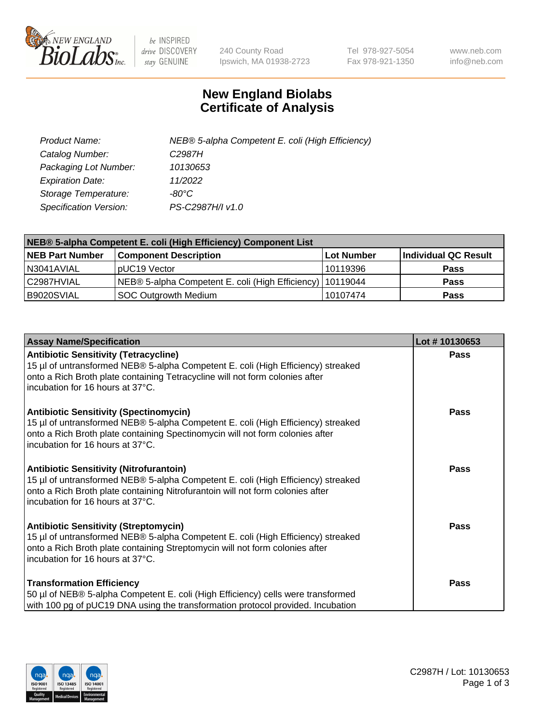

 $be$  INSPIRED drive DISCOVERY stay GENUINE

240 County Road Ipswich, MA 01938-2723 Tel 978-927-5054 Fax 978-921-1350 www.neb.com info@neb.com

## **New England Biolabs Certificate of Analysis**

| Product Name:           | NEB® 5-alpha Competent E. coli (High Efficiency) |
|-------------------------|--------------------------------------------------|
| Catalog Number:         | C <sub>2987</sub> H                              |
| Packaging Lot Number:   | 10130653                                         |
| <b>Expiration Date:</b> | 11/2022                                          |
| Storage Temperature:    | -80°C                                            |
| Specification Version:  | PS-C2987H/I v1.0                                 |

| NEB® 5-alpha Competent E. coli (High Efficiency) Component List |                                                             |            |                      |  |
|-----------------------------------------------------------------|-------------------------------------------------------------|------------|----------------------|--|
| <b>NEB Part Number</b>                                          | <b>Component Description</b>                                | Lot Number | Individual QC Result |  |
| N3041AVIAL                                                      | pUC19 Vector                                                | 10119396   | <b>Pass</b>          |  |
| C2987HVIAL                                                      | NEB® 5-alpha Competent E. coli (High Efficiency)   10119044 |            | <b>Pass</b>          |  |
| B9020SVIAL                                                      | <b>SOC Outgrowth Medium</b>                                 | 10107474   | <b>Pass</b>          |  |

| <b>Assay Name/Specification</b>                                                                                                                                                                                                                          | Lot #10130653 |
|----------------------------------------------------------------------------------------------------------------------------------------------------------------------------------------------------------------------------------------------------------|---------------|
| <b>Antibiotic Sensitivity (Tetracycline)</b><br>15 µl of untransformed NEB® 5-alpha Competent E. coli (High Efficiency) streaked<br>onto a Rich Broth plate containing Tetracycline will not form colonies after<br>incubation for 16 hours at 37°C.     | Pass          |
| <b>Antibiotic Sensitivity (Spectinomycin)</b><br>15 µl of untransformed NEB® 5-alpha Competent E. coli (High Efficiency) streaked<br>onto a Rich Broth plate containing Spectinomycin will not form colonies after<br>incubation for 16 hours at 37°C.   | <b>Pass</b>   |
| <b>Antibiotic Sensitivity (Nitrofurantoin)</b><br>15 µl of untransformed NEB® 5-alpha Competent E. coli (High Efficiency) streaked<br>onto a Rich Broth plate containing Nitrofurantoin will not form colonies after<br>incubation for 16 hours at 37°C. | Pass          |
| <b>Antibiotic Sensitivity (Streptomycin)</b><br>15 µl of untransformed NEB® 5-alpha Competent E. coli (High Efficiency) streaked<br>onto a Rich Broth plate containing Streptomycin will not form colonies after<br>incubation for 16 hours at 37°C.     | Pass          |
| <b>Transformation Efficiency</b><br>50 µl of NEB® 5-alpha Competent E. coli (High Efficiency) cells were transformed<br>with 100 pg of pUC19 DNA using the transformation protocol provided. Incubation                                                  | Pass          |

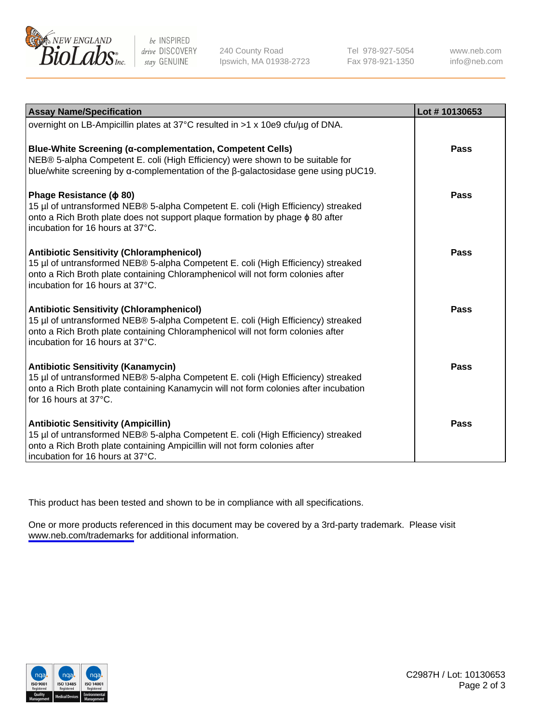

be INSPIRED drive DISCOVERY stay GENUINE

240 County Road Ipswich, MA 01938-2723 Tel 978-927-5054 Fax 978-921-1350

www.neb.com info@neb.com

| <b>Assay Name/Specification</b>                                                                                                                                                                                                                            | Lot #10130653 |
|------------------------------------------------------------------------------------------------------------------------------------------------------------------------------------------------------------------------------------------------------------|---------------|
| overnight on LB-Ampicillin plates at 37°C resulted in >1 x 10e9 cfu/µg of DNA.                                                                                                                                                                             |               |
| Blue-White Screening (α-complementation, Competent Cells)<br>NEB® 5-alpha Competent E. coli (High Efficiency) were shown to be suitable for<br>blue/white screening by $\alpha$ -complementation of the $\beta$ -galactosidase gene using pUC19.           | Pass          |
| Phage Resistance ( $\phi$ 80)<br>15 µl of untransformed NEB® 5-alpha Competent E. coli (High Efficiency) streaked<br>onto a Rich Broth plate does not support plaque formation by phage $\phi$ 80 after<br>incubation for 16 hours at 37°C.                | Pass          |
| <b>Antibiotic Sensitivity (Chloramphenicol)</b><br>15 µl of untransformed NEB® 5-alpha Competent E. coli (High Efficiency) streaked<br>onto a Rich Broth plate containing Chloramphenicol will not form colonies after<br>incubation for 16 hours at 37°C. | Pass          |
| <b>Antibiotic Sensitivity (Chloramphenicol)</b><br>15 µl of untransformed NEB® 5-alpha Competent E. coli (High Efficiency) streaked<br>onto a Rich Broth plate containing Chloramphenicol will not form colonies after<br>incubation for 16 hours at 37°C. | Pass          |
| <b>Antibiotic Sensitivity (Kanamycin)</b><br>15 µl of untransformed NEB® 5-alpha Competent E. coli (High Efficiency) streaked<br>onto a Rich Broth plate containing Kanamycin will not form colonies after incubation<br>for 16 hours at 37°C.             | Pass          |
| <b>Antibiotic Sensitivity (Ampicillin)</b><br>15 µl of untransformed NEB® 5-alpha Competent E. coli (High Efficiency) streaked<br>onto a Rich Broth plate containing Ampicillin will not form colonies after<br>incubation for 16 hours at 37°C.           | <b>Pass</b>   |

This product has been tested and shown to be in compliance with all specifications.

One or more products referenced in this document may be covered by a 3rd-party trademark. Please visit <www.neb.com/trademarks>for additional information.